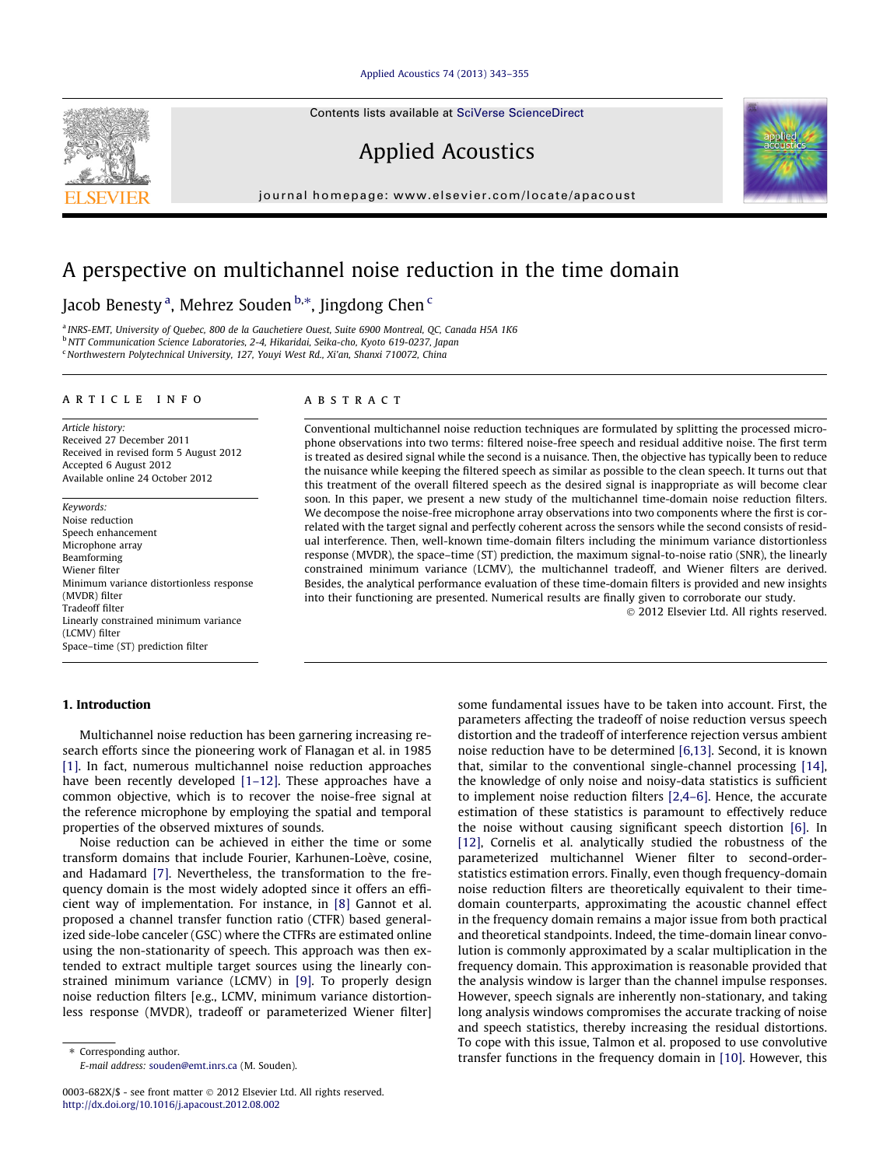#### [Applied Acoustics 74 \(2013\) 343–355](http://dx.doi.org/10.1016/j.apacoust.2012.08.002)

Contents lists available at [SciVerse ScienceDirect](http://www.sciencedirect.com/science/journal/0003682X)

Applied Acoustics

journal homepage: [www.elsevier.com/locate/apacoust](http://www.elsevier.com/locate/apacoust)

# A perspective on multichannel noise reduction in the time domain

## Jacob Benesty <sup>a</sup>, Mehrez Souden <sup>b,\*</sup>, Jingdong Chen <sup>c</sup>

<sup>a</sup> INRS-EMT, University of Quebec, 800 de la Gauchetiere Ouest, Suite 6900 Montreal, QC, Canada H5A 1K6 <sup>b</sup> NTT Communication Science Laboratories, 2-4, Hikaridai, Seika-cho, Kyoto 619-0237, Japan <sup>c</sup> Northwestern Polytechnical University, 127, Youyi West Rd., Xi'an, Shanxi 710072, China

#### article info

Article history: Received 27 December 2011 Received in revised form 5 August 2012 Accepted 6 August 2012 Available online 24 October 2012

Keywords: Noise reduction Speech enhancement Microphone array Beamforming Wiener filter Minimum variance distortionless response (MVDR) filter Tradeoff filter Linearly constrained minimum variance (LCMV) filter Space–time (ST) prediction filter

#### 1. Introduction

# Multichannel noise reduction has been garnering increasing re-

search efforts since the pioneering work of Flanagan et al. in 1985 [\[1\]](#page-12-0). In fact, numerous multichannel noise reduction approaches have been recently developed [\[1–12\]](#page-12-0). These approaches have a common objective, which is to recover the noise-free signal at the reference microphone by employing the spatial and temporal properties of the observed mixtures of sounds.

Noise reduction can be achieved in either the time or some transform domains that include Fourier, Karhunen-Loève, cosine, and Hadamard [\[7\].](#page-12-0) Nevertheless, the transformation to the frequency domain is the most widely adopted since it offers an efficient way of implementation. For instance, in [\[8\]](#page-12-0) Gannot et al. proposed a channel transfer function ratio (CTFR) based generalized side-lobe canceler (GSC) where the CTFRs are estimated online using the non-stationarity of speech. This approach was then extended to extract multiple target sources using the linearly constrained minimum variance (LCMV) in [\[9\].](#page-12-0) To properly design noise reduction filters [e.g., LCMV, minimum variance distortionless response (MVDR), tradeoff or parameterized Wiener filter]

⇑ Corresponding author. E-mail address: [souden@emt.inrs.ca](mailto:souden@emt.inrs.ca) (M. Souden).

#### **ABSTRACT**

Conventional multichannel noise reduction techniques are formulated by splitting the processed microphone observations into two terms: filtered noise-free speech and residual additive noise. The first term is treated as desired signal while the second is a nuisance. Then, the objective has typically been to reduce the nuisance while keeping the filtered speech as similar as possible to the clean speech. It turns out that this treatment of the overall filtered speech as the desired signal is inappropriate as will become clear soon. In this paper, we present a new study of the multichannel time-domain noise reduction filters. We decompose the noise-free microphone array observations into two components where the first is correlated with the target signal and perfectly coherent across the sensors while the second consists of residual interference. Then, well-known time-domain filters including the minimum variance distortionless response (MVDR), the space–time (ST) prediction, the maximum signal-to-noise ratio (SNR), the linearly constrained minimum variance (LCMV), the multichannel tradeoff, and Wiener filters are derived. Besides, the analytical performance evaluation of these time-domain filters is provided and new insights into their functioning are presented. Numerical results are finally given to corroborate our study.

- 2012 Elsevier Ltd. All rights reserved.

some fundamental issues have to be taken into account. First, the parameters affecting the tradeoff of noise reduction versus speech distortion and the tradeoff of interference rejection versus ambient noise reduction have to be determined [\[6,13\].](#page-12-0) Second, it is known that, similar to the conventional single-channel processing [\[14\],](#page-12-0) the knowledge of only noise and noisy-data statistics is sufficient to implement noise reduction filters [\[2,4–6\].](#page-12-0) Hence, the accurate estimation of these statistics is paramount to effectively reduce the noise without causing significant speech distortion [\[6\]](#page-12-0). In [\[12\]](#page-12-0), Cornelis et al. analytically studied the robustness of the parameterized multichannel Wiener filter to second-orderstatistics estimation errors. Finally, even though frequency-domain noise reduction filters are theoretically equivalent to their timedomain counterparts, approximating the acoustic channel effect in the frequency domain remains a major issue from both practical and theoretical standpoints. Indeed, the time-domain linear convolution is commonly approximated by a scalar multiplication in the frequency domain. This approximation is reasonable provided that the analysis window is larger than the channel impulse responses. However, speech signals are inherently non-stationary, and taking long analysis windows compromises the accurate tracking of noise and speech statistics, thereby increasing the residual distortions. To cope with this issue, Talmon et al. proposed to use convolutive transfer functions in the frequency domain in [\[10\].](#page-12-0) However, this



<sup>0003-682</sup>X/\$ - see front matter © 2012 Elsevier Ltd. All rights reserved. <http://dx.doi.org/10.1016/j.apacoust.2012.08.002>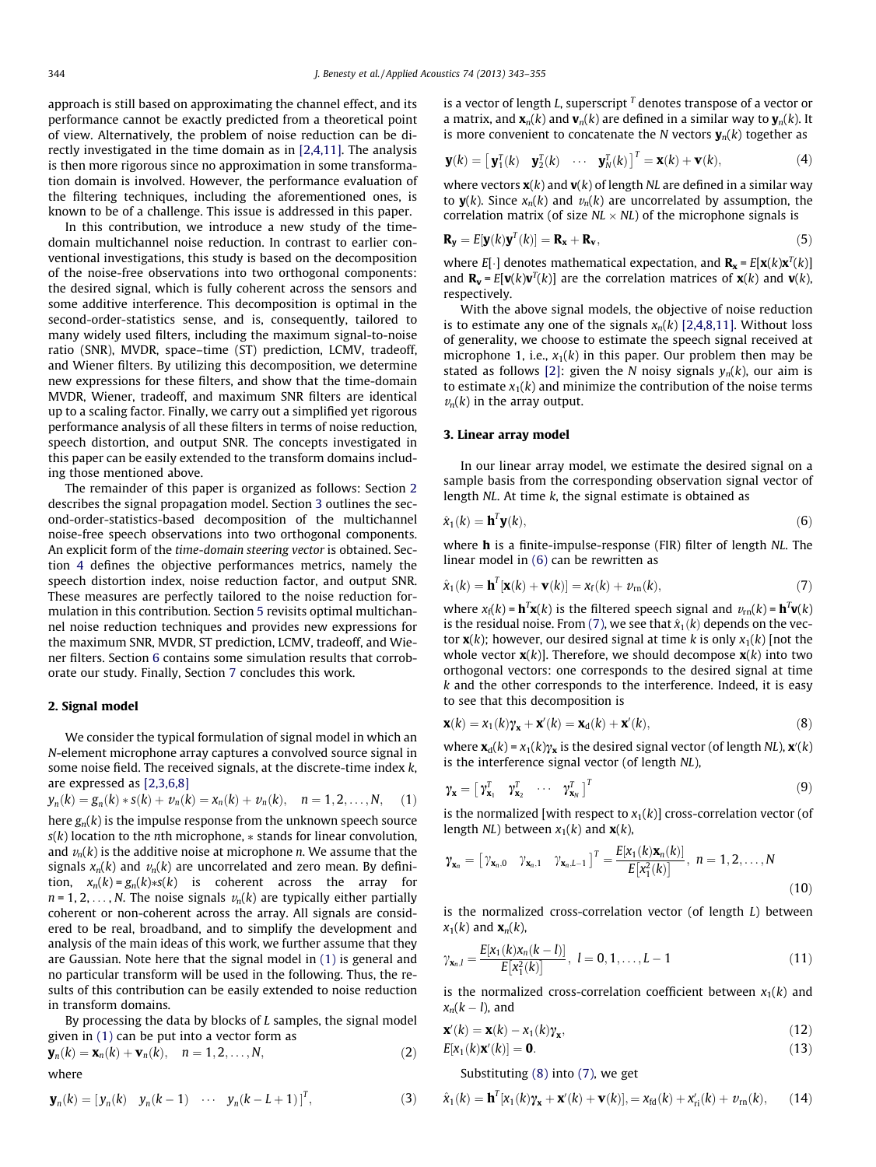<span id="page-1-0"></span>approach is still based on approximating the channel effect, and its performance cannot be exactly predicted from a theoretical point of view. Alternatively, the problem of noise reduction can be directly investigated in the time domain as in [\[2,4,11\]](#page-12-0). The analysis is then more rigorous since no approximation in some transformation domain is involved. However, the performance evaluation of the filtering techniques, including the aforementioned ones, is known to be of a challenge. This issue is addressed in this paper.

In this contribution, we introduce a new study of the timedomain multichannel noise reduction. In contrast to earlier conventional investigations, this study is based on the decomposition of the noise-free observations into two orthogonal components: the desired signal, which is fully coherent across the sensors and some additive interference. This decomposition is optimal in the second-order-statistics sense, and is, consequently, tailored to many widely used filters, including the maximum signal-to-noise ratio (SNR), MVDR, space–time (ST) prediction, LCMV, tradeoff, and Wiener filters. By utilizing this decomposition, we determine new expressions for these filters, and show that the time-domain MVDR, Wiener, tradeoff, and maximum SNR filters are identical up to a scaling factor. Finally, we carry out a simplified yet rigorous performance analysis of all these filters in terms of noise reduction, speech distortion, and output SNR. The concepts investigated in this paper can be easily extended to the transform domains including those mentioned above.

The remainder of this paper is organized as follows: Section 2 describes the signal propagation model. Section 3 outlines the second-order-statistics-based decomposition of the multichannel noise-free speech observations into two orthogonal components. An explicit form of the time-domain steering vector is obtained. Section [4](#page-2-0) defines the objective performances metrics, namely the speech distortion index, noise reduction factor, and output SNR. These measures are perfectly tailored to the noise reduction formulation in this contribution. Section [5](#page-2-0) revisits optimal multichannel noise reduction techniques and provides new expressions for the maximum SNR, MVDR, ST prediction, LCMV, tradeoff, and Wiener filters. Section [6](#page-9-0) contains some simulation results that corroborate our study. Finally, Section [7](#page-12-0) concludes this work.

#### 2. Signal model

We consider the typical formulation of signal model in which an N-element microphone array captures a convolved source signal in some noise field. The received signals, at the discrete-time index k, are expressed as [\[2,3,6,8\]](#page-12-0)

$$
y_n(k) = g_n(k) * s(k) + v_n(k) = x_n(k) + v_n(k), \quad n = 1, 2, ..., N,
$$
 (1)

here  $g_n(k)$  is the impulse response from the unknown speech source  $s(k)$  location to the *n*th microphone,  $*$  stands for linear convolution, and  $v_n(k)$  is the additive noise at microphone *n*. We assume that the signals  $x_n(k)$  and  $v_n(k)$  are uncorrelated and zero mean. By definition,  $x_n(k) = g_n(k) * s(k)$  is coherent across the array for  $n = 1, 2, \ldots, N$ . The noise signals  $v_n(k)$  are typically either partially coherent or non-coherent across the array. All signals are considered to be real, broadband, and to simplify the development and analysis of the main ideas of this work, we further assume that they are Gaussian. Note here that the signal model in (1) is general and no particular transform will be used in the following. Thus, the results of this contribution can be easily extended to noise reduction in transform domains.

By processing the data by blocks of  $L$  samples, the signal model given in (1) can be put into a vector form as

$$
\mathbf{y}_n(k) = \mathbf{x}_n(k) + \mathbf{v}_n(k), \quad n = 1, 2, \dots, N,
$$
 (2)

where

$$
\mathbf{y}_n(k) = \begin{bmatrix} y_n(k) & y_n(k-1) & \cdots & y_n(k-L+1) \end{bmatrix}^T, \tag{3}
$$

is a vector of length L, superscript  $<sup>T</sup>$  denotes transpose of a vector or</sup> a matrix, and  $\mathbf{x}_n(k)$  and  $\mathbf{v}_n(k)$  are defined in a similar way to  $\mathbf{y}_n(k)$ . It is more convenient to concatenate the N vectors  $y_n(k)$  together as

$$
\mathbf{y}(k) = \begin{bmatrix} \mathbf{y}_1^T(k) & \mathbf{y}_2^T(k) & \cdots & \mathbf{y}_N^T(k) \end{bmatrix}^T = \mathbf{x}(k) + \mathbf{v}(k),
$$
 (4)

where vectors  $\mathbf{x}(k)$  and  $\mathbf{v}(k)$  of length NL are defined in a similar way to  $\mathbf{y}(k)$ . Since  $x_n(k)$  and  $v_n(k)$  are uncorrelated by assumption, the correlation matrix (of size  $NL \times NL$ ) of the microphone signals is

$$
\mathbf{R}_{\mathbf{y}} = E[\mathbf{y}(k)\mathbf{y}^T(k)] = \mathbf{R}_{\mathbf{x}} + \mathbf{R}_{\mathbf{v}},
$$
\n(5)

where  $E[\cdot]$  denotes mathematical expectation, and  $\mathbf{R}_{\mathbf{x}} = E[\mathbf{x}(k)\mathbf{x}^T(k)]$ and  $\mathbf{R}_{\mathbf{v}} = E[\mathbf{v}(k)\mathbf{v}^T(k)]$  are the correlation matrices of  $\mathbf{x}(k)$  and  $\mathbf{v}(k)$ , respectively.

With the above signal models, the objective of noise reduction is to estimate any one of the signals  $x_n(k)$  [\[2,4,8,11\]](#page-12-0). Without loss of generality, we choose to estimate the speech signal received at microphone 1, i.e.,  $x_1(k)$  in this paper. Our problem then may be stated as follows [\[2\]](#page-12-0): given the N noisy signals  $y_n(k)$ , our aim is to estimate  $x_1(k)$  and minimize the contribution of the noise terms  $v_n(k)$  in the array output.

#### 3. Linear array model

In our linear array model, we estimate the desired signal on a sample basis from the corresponding observation signal vector of length  $NL$ . At time  $k$ , the signal estimate is obtained as

$$
\hat{\mathbf{x}}_1(k) = \mathbf{h}^T \mathbf{y}(k),\tag{6}
$$

where **h** is a finite-impulse-response (FIR) filter of length NL. The linear model in (6) can be rewritten as

$$
\hat{\mathbf{x}}_1(k) = \mathbf{h}^T[\mathbf{x}(k) + \mathbf{v}(k)] = \mathbf{x}_f(k) + \mathbf{v}_{rn}(k),\tag{7}
$$

where  $x_f(k) = \mathbf{h}^T \mathbf{x}(k)$  is the filtered speech signal and  $v_{\text{rn}}(k) = \mathbf{h}^T \mathbf{v}(k)$ is the residual noise. From (7), we see that  $\hat{x}_1(k)$  depends on the vector  $\mathbf{x}(k)$ ; however, our desired signal at time k is only  $x_1(k)$  [not the whole vector  $\mathbf{x}(k)$ ]. Therefore, we should decompose  $\mathbf{x}(k)$  into two orthogonal vectors: one corresponds to the desired signal at time  $k$  and the other corresponds to the interference. Indeed, it is easy to see that this decomposition is

$$
\mathbf{x}(k) = x_1(k)\mathbf{y}_\mathbf{x} + \mathbf{x}'(k) = \mathbf{x}_d(k) + \mathbf{x}'(k),
$$
\n(8)

where  $\mathbf{x}_d(k) = x_1(k)\gamma_{\mathbf{x}}$  is the desired signal vector (of length NL),  $\mathbf{x}'(k)$ is the interference signal vector (of length NL),

$$
\gamma_{\mathbf{x}} = \begin{bmatrix} \gamma_{\mathbf{x}_1}^T & \gamma_{\mathbf{x}_2}^T & \cdots & \gamma_{\mathbf{x}_N}^T \end{bmatrix}^T
$$
 (9)

is the normalized [with respect to  $x_1(k)$ ] cross-correlation vector (of length  $NL$ ) between  $x_1(k)$  and  $\mathbf{x}(k)$ ,

$$
\gamma_{\mathbf{x}_n} = \begin{bmatrix} \gamma_{\mathbf{x}_n,0} & \gamma_{\mathbf{x}_n,1} & \gamma_{\mathbf{x}_n,L-1} \end{bmatrix}^T = \frac{E[\mathbf{x}_1(k)\mathbf{x}_n(k)]}{E[\mathbf{x}_1^2(k)]}, \quad n = 1,2,\ldots,N
$$
\n(10)

is the normalized cross-correlation vector (of length L) between  $x_1(k)$  and  $\mathbf{x}_n(k)$ ,

$$
\gamma_{\mathbf{x}_n,l} = \frac{E[x_1(k)x_n(k-l)]}{E[x_1^2(k)]}, \ l = 0, 1, \dots, L-1
$$
\n(11)

is the normalized cross-correlation coefficient between  $x_1(k)$  and  $x_n(k - l)$ , and

$$
\mathbf{x}'(k) = \mathbf{x}(k) - x_1(k)\gamma_{\mathbf{x}},\tag{12}
$$

$$
E[x_1(k)\mathbf{x}'(k)] = \mathbf{0}.\tag{13}
$$

Substituting (8) into (7), we get

$$
\hat{\mathbf{x}}_1(k) = \mathbf{h}^T[\mathbf{x}_1(k)\mathbf{y}_\mathbf{x} + \mathbf{x}'(k) + \mathbf{v}(k)], = \mathbf{x}_{fd}(k) + \mathbf{x}'_{ri}(k) + \mathbf{v}_{rn}(k), \qquad (14)
$$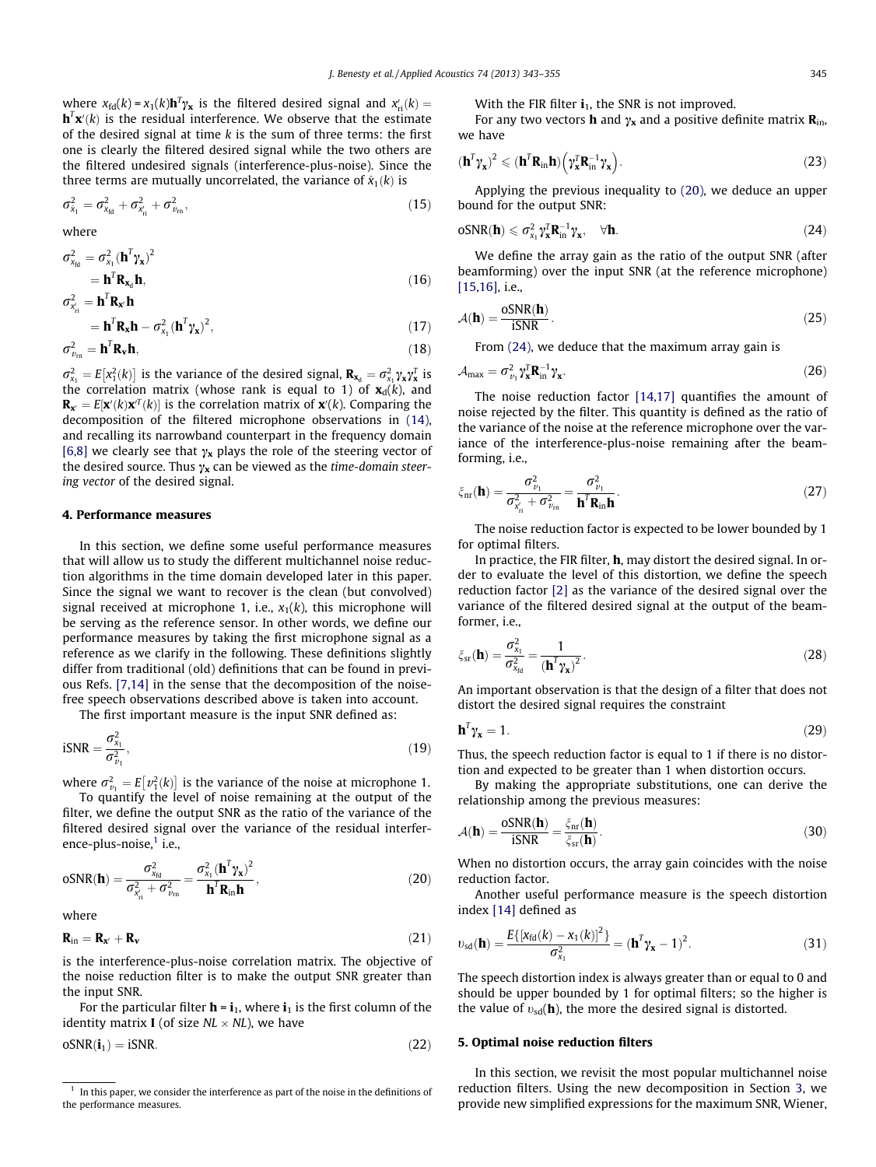<span id="page-2-0"></span>where  $x_{\text{fd}}(k) = x_1(k) \mathbf{h}^T \gamma_{\mathbf{x}}$  is the filtered desired signal and  $x'_{\text{ri}}(k) =$  $\mathbf{h}^T\mathbf{x}'(k)$  is the residual interference. We observe that the estimate of the desired signal at time  $k$  is the sum of three terms: the first one is clearly the filtered desired signal while the two others are the filtered undesired signals (interference-plus-noise). Since the three terms are mutually uncorrelated, the variance of  $\hat{x}_1(k)$  is

$$
\sigma_{\tilde{x}_1}^2 = \sigma_{x_{\text{fd}}}^2 + \sigma_{x_{\text{rf}}}^2 + \sigma_{v_{\text{rn}}}^2, \tag{15}
$$

where

$$
\sigma_{\mathbf{x}_{\text{td}}}^2 = \sigma_{\mathbf{x}_1}^2 (\mathbf{h}^T \boldsymbol{\gamma}_\mathbf{x})^2
$$
  
=  $\mathbf{h}^T \mathbf{R}_{\mathbf{x}_d} \mathbf{h},$  (16)

$$
\sigma_{x'_{ni}}^2 = \mathbf{h}^T \mathbf{R}_{x'} \mathbf{h}
$$

$$
= \mathbf{h}^T \mathbf{R}_{\mathbf{x}} \mathbf{h} - \sigma_{x_1}^2 (\mathbf{h}^T \gamma_{\mathbf{x}})^2,
$$
\n(17)

$$
\sigma_{\nu_{\rm m}}^2 = \mathbf{h}^T \mathbf{R}_\mathbf{v} \mathbf{h},\tag{18}
$$

 $\sigma_{x_1}^2 = E[x_1^2(k)]$  is the variance of the desired signal,  $\mathbf{R}_{x_d} = \sigma_{x_1}^2 \gamma_x \gamma_x^2$  is the correlation matrix (whose rank is equal to 1) of  $\mathbf{x}_d(k)$ , and  $\mathbf{R}_{\mathbf{x}^\prime} = E[\mathbf{x}^\prime(k) \mathbf{x}^\prime{}^T(k)]$  is the correlation matrix of  $\mathbf{x}^\prime(k)$ . Comparing the decomposition of the filtered microphone observations in [\(14\),](#page-1-0) and recalling its narrowband counterpart in the frequency domain [\[6,8\]](#page-12-0) we clearly see that  $\gamma_x$  plays the role of the steering vector of the desired source. Thus  $\gamma_{\mathbf{x}}$  can be viewed as the time-domain steering vector of the desired signal.

#### 4. Performance measures

In this section, we define some useful performance measures that will allow us to study the different multichannel noise reduction algorithms in the time domain developed later in this paper. Since the signal we want to recover is the clean (but convolved) signal received at microphone 1, i.e.,  $x_1(k)$ , this microphone will be serving as the reference sensor. In other words, we define our performance measures by taking the first microphone signal as a reference as we clarify in the following. These definitions slightly differ from traditional (old) definitions that can be found in previous Refs. [\[7,14\]](#page-12-0) in the sense that the decomposition of the noisefree speech observations described above is taken into account.

The first important measure is the input SNR defined as:

$$
iSNR = \frac{\sigma_{x_1}^2}{\sigma_{y_1}^2},\tag{19}
$$

where  $\sigma_{\nu_1}^2 = E[\nu_1^2(k)]$  is the variance of the noise at microphone 1. To quantify the level of noise remaining at the output of the filter, we define the output SNR as the ratio of the variance of the filtered desired signal over the variance of the residual interference-plus-noise, $<sup>1</sup>$  i.e.,</sup>

$$
oSNR(\mathbf{h}) = \frac{\sigma_{\chi_{\text{td}}}^2}{\sigma_{\chi_{\text{rd}}}^2 + \sigma_{\nu_{\text{rn}}}^2} = \frac{\sigma_{\chi_1}^2 (\mathbf{h}^T \gamma_{\chi})^2}{\mathbf{h}^T \mathbf{R}_{\text{in}} \mathbf{h}},
$$
(20)

where

$$
\mathbf{R}_{in} = \mathbf{R}_{\mathbf{x}'} + \mathbf{R}_{\mathbf{v}} \tag{21}
$$

is the interference-plus-noise correlation matrix. The objective of the noise reduction filter is to make the output SNR greater than the input SNR.

For the particular filter  $\mathbf{h} = \mathbf{i}_1$ , where  $\mathbf{i}_1$  is the first column of the identity matrix **I** (of size  $NL \times NL$ ), we have

 $oSNR(i_1) = iSNR.$  (22)

With the FIR filter  $\mathbf{i}_1$ , the SNR is not improved.

For any two vectors **h** and  $\gamma_x$  and a positive definite matrix  $\mathbf{R}_{in}$ , we have

$$
(\mathbf{h}^T \boldsymbol{\gamma}_{\mathbf{x}})^2 \leqslant (\mathbf{h}^T \mathbf{R}_{in} \mathbf{h}) \Big( \boldsymbol{\gamma}_{\mathbf{x}}^T \mathbf{R}_{in}^{-1} \boldsymbol{\gamma}_{\mathbf{x}} \Big). \tag{23}
$$

Applying the previous inequality to (20), we deduce an upper bound for the output SNR:

$$
oSNR(\mathbf{h}) \leqslant \sigma_{x_1}^2 \gamma_{\mathbf{x}}^T \mathbf{R}_{in}^{-1} \gamma_{\mathbf{x}}, \quad \forall \mathbf{h}.
$$
\n(24)

We define the array gain as the ratio of the output SNR (after beamforming) over the input SNR (at the reference microphone) [\[15,16\]](#page-12-0), i.e.,

$$
A(\mathbf{h}) = \frac{\text{oSNR}(\mathbf{h})}{\text{iSNR}}.\tag{25}
$$

From (24), we deduce that the maximum array gain is

$$
\mathcal{A}_{\text{max}} = \sigma_{\nu_1}^2 \gamma_{\mathbf{x}}^T \mathbf{R}_{\text{in}}^{-1} \gamma_{\mathbf{x}}.
$$
 (26)

The noise reduction factor [\[14,17\]](#page-12-0) quantifies the amount of noise rejected by the filter. This quantity is defined as the ratio of the variance of the noise at the reference microphone over the variance of the interference-plus-noise remaining after the beamforming, i.e.,

$$
\xi_{\rm nr}(\mathbf{h}) = \frac{\sigma_{\nu_1}^2}{\sigma_{x_{\rm ri}}^2 + \sigma_{\nu_{\rm rn}}^2} = \frac{\sigma_{\nu_1}^2}{\mathbf{h}^T \mathbf{R}_{\rm in} \mathbf{h}}.\tag{27}
$$

The noise reduction factor is expected to be lower bounded by 1 for optimal filters.

In practice, the FIR filter, h, may distort the desired signal. In order to evaluate the level of this distortion, we define the speech reduction factor [\[2\]](#page-12-0) as the variance of the desired signal over the variance of the filtered desired signal at the output of the beamformer, i.e.,

$$
\xi_{\rm sr}(\mathbf{h}) = \frac{\sigma_{\chi_1}^2}{\sigma_{\chi_{\rm fd}}^2} = \frac{1}{\left(\mathbf{h}^T \gamma_{\mathbf{x}}\right)^2}.
$$
 (28)

An important observation is that the design of a filter that does not distort the desired signal requires the constraint

$$
\mathbf{h}^T \gamma_{\mathbf{x}} = 1. \tag{29}
$$

Thus, the speech reduction factor is equal to 1 if there is no distortion and expected to be greater than 1 when distortion occurs.

By making the appropriate substitutions, one can derive the relationship among the previous measures:

$$
A(\mathbf{h}) = \frac{\text{oSNR}(\mathbf{h})}{i \text{SNR}} = \frac{\xi_{\text{nr}}(\mathbf{h})}{\xi_{\text{sr}}(\mathbf{h})}.
$$
\n(30)

When no distortion occurs, the array gain coincides with the noise reduction factor.

Another useful performance measure is the speech distortion index [\[14\]](#page-12-0) defined as

$$
v_{sd}(\mathbf{h}) = \frac{E\{[\mathbf{x}_{td}(k) - \mathbf{x}_1(k)]^2\}}{\sigma_{\mathbf{x}_1}^2} = (\mathbf{h}^T \mathbf{\gamma_x} - 1)^2.
$$
 (31)

The speech distortion index is always greater than or equal to 0 and should be upper bounded by 1 for optimal filters; so the higher is the value of  $v_{sd}(\mathbf{h})$ , the more the desired signal is distorted.

#### 5. Optimal noise reduction filters

In this section, we revisit the most popular multichannel noise reduction filters. Using the new decomposition in Section [3,](#page-1-0) we provide new simplified expressions for the maximum SNR, Wiener,

In this paper, we consider the interference as part of the noise in the definitions of the performance measures.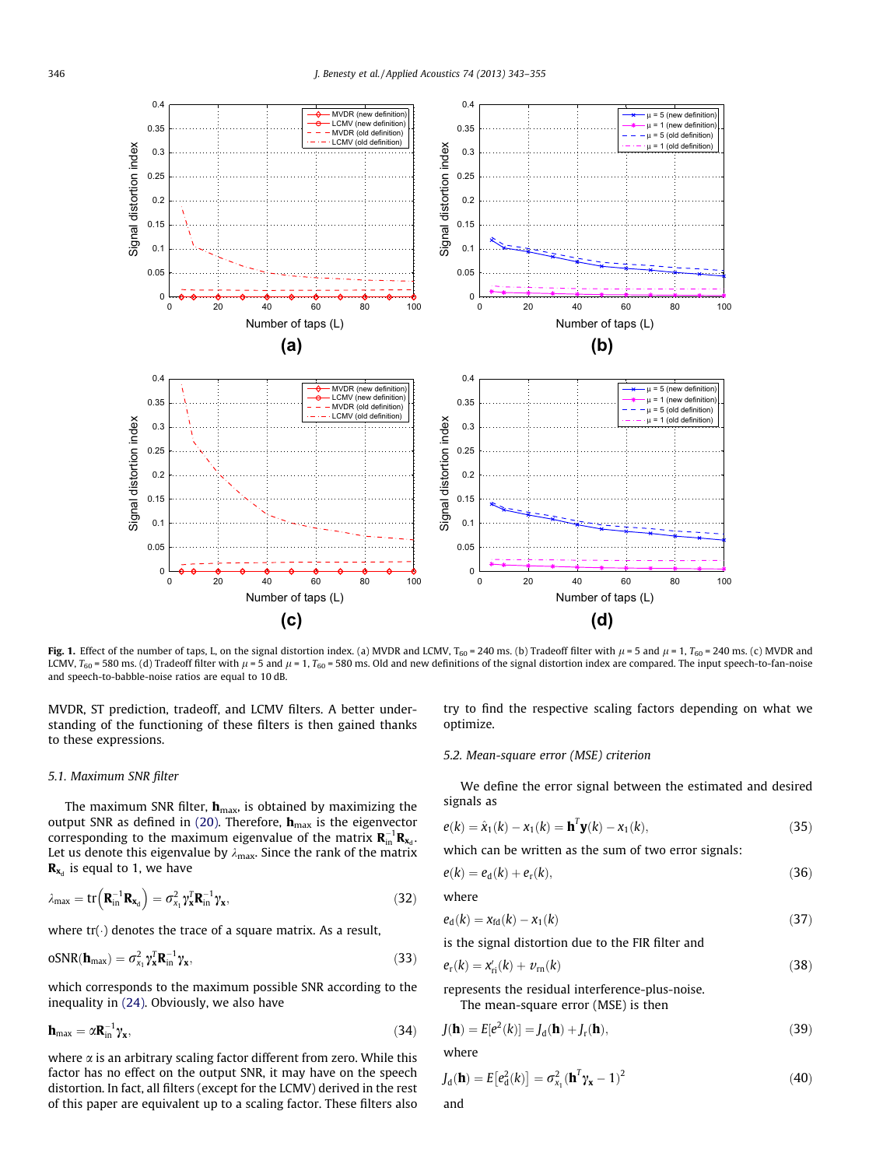<span id="page-3-0"></span>

Fig. 1. Effect of the number of taps, L, on the signal distortion index. (a) MVDR and LCMV, T<sub>60</sub> = 240 ms. (b) Tradeoff filter with  $\mu$  = 5 and  $\mu$  = 1, T<sub>60</sub> = 240 ms. (c) MVDR and LCMV,  $T_{60}$  = 580 ms. (d) Tradeoff filter with  $\mu$  = 5 and  $\mu$  = 1,  $T_{60}$  = 580 ms. Old and new definitions of the signal distortion index are compared. The input speech-to-fan-noise and speech-to-babble-noise ratios are equal to 10 dB.

MVDR, ST prediction, tradeoff, and LCMV filters. A better understanding of the functioning of these filters is then gained thanks to these expressions.

#### 5.1. Maximum SNR filter

The maximum SNR filter,  $h_{\text{max}}$ , is obtained by maximizing the output SNR as defined in [\(20\)](#page-2-0). Therefore,  $\mathbf{h}_{\text{max}}$  is the eigenvector corresponding to the maximum eigenvalue of the matrix  $\mathbf{R}_{\text{in}}^{-1}\mathbf{R}_{\mathbf{x}_\text{d}}$ . Let us denote this eigenvalue by  $\lambda_{\text{max}}$ . Since the rank of the matrix  $\mathbf{R}_{\mathbf{x}_d}$  is equal to 1, we have

$$
\lambda_{\text{max}} = \text{tr}\left(\mathbf{R}_{\text{in}}^{-1}\mathbf{R}_{\mathbf{x}_d}\right) = \sigma_{x_1}^2 \gamma_{\mathbf{x}}^T \mathbf{R}_{\text{in}}^{-1} \gamma_{\mathbf{x}},\tag{32}
$$

where  $tr(\cdot)$  denotes the trace of a square matrix. As a result,

$$
oSNR(\mathbf{h}_{\text{max}}) = \sigma_{x_1}^2 \gamma_{\mathbf{x}}^T \mathbf{R}_{\text{in}}^{-1} \gamma_{\mathbf{x}},
$$
\n(33)

which corresponds to the maximum possible SNR according to the inequality in [\(24\)](#page-2-0). Obviously, we also have

$$
\mathbf{h}_{\text{max}} = \alpha \mathbf{R}_{\text{in}}^{-1} \gamma_{\mathbf{x}},\tag{34}
$$

where  $\alpha$  is an arbitrary scaling factor different from zero. While this factor has no effect on the output SNR, it may have on the speech distortion. In fact, all filters (except for the LCMV) derived in the rest of this paper are equivalent up to a scaling factor. These filters also

try to find the respective scaling factors depending on what we optimize.

#### 5.2. Mean-square error (MSE) criterion

We define the error signal between the estimated and desired signals as

$$
e(k) = \hat{x}_1(k) - x_1(k) = \mathbf{h}^T \mathbf{y}(k) - x_1(k),
$$
\n(35)

which can be written as the sum of two error signals:

$$
e(k) = e_d(k) + e_r(k), \qquad (36)
$$

where

$$
e_{\rm d}(k) = x_{\rm fd}(k) - x_1(k) \tag{37}
$$

is the signal distortion due to the FIR filter and

$$
e_{\rm r}(k) = x'_{\rm ri}(k) + v_{\rm rn}(k) \tag{38}
$$

represents the residual interference-plus-noise.

The mean-square error (MSE) is then

$$
J(\mathbf{h}) = E[e^2(k)] = J_d(\mathbf{h}) + J_r(\mathbf{h}),
$$
\n(39)

where

$$
J_d(\mathbf{h}) = E[e_d^2(k)] = \sigma_{x_1}^2(\mathbf{h}^T \gamma_{\mathbf{x}} - 1)^2
$$
 (40)

and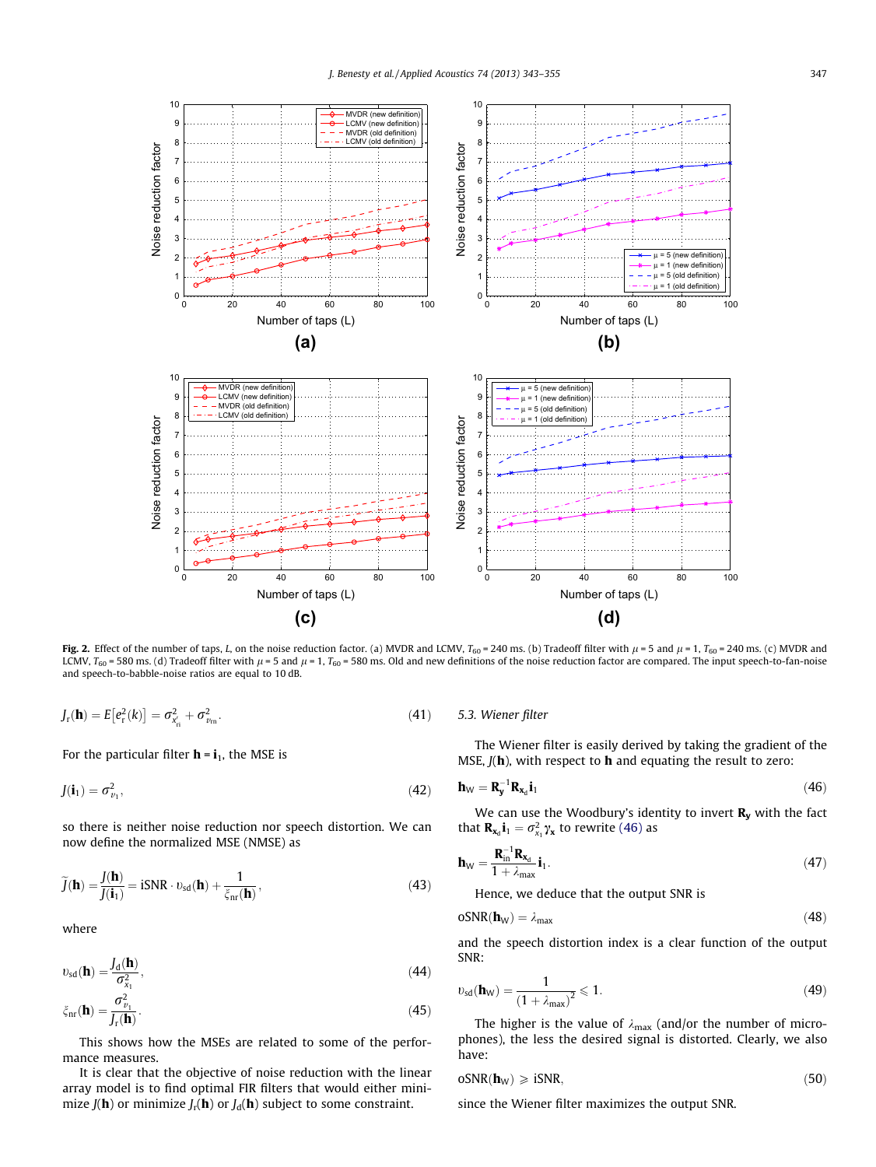<span id="page-4-0"></span>

Fig. 2. Effect of the number of taps, L, on the noise reduction factor. (a) MVDR and LCMV,  $T_{60} = 240$  ms. (b) Tradeoff filter with  $\mu$  = 5 and  $\mu$  = 1,  $T_{60} = 240$  ms. (c) MVDR and LCMV,  $T_{60}$  = 580 ms. (d) Tradeoff filter with  $\mu$  = 5 and  $\mu$  = 1,  $T_{60}$  = 580 ms. Old and new definitions of the noise reduction factor are compared. The input speech-to-fan-noise and speech-to-babble-noise ratios are equal to 10 dB.

$$
J_{\rm r}(\mathbf{h}) = E[e_{\rm r}^{2}(k)] = \sigma_{\mathbf{x}_{\rm r}^{2}}^{2} + \sigma_{v_{\rm m}}^{2}.
$$
 (41) 5.3. Wiener j

For the particular filter  $h = i_1$ , the MSE is

$$
J(\mathbf{i}_1) = \sigma_{v_1}^2,\tag{42}
$$

so there is neither noise reduction nor speech distortion. We can now define the normalized MSE (NMSE) as

$$
\widetilde{J}(\mathbf{h}) = \frac{J(\mathbf{h})}{J(\mathbf{i}_1)} = iSNR \cdot v_{sd}(\mathbf{h}) + \frac{1}{\xi_{nr}(\mathbf{h})},
$$
\n(43)

where

$$
v_{sd}(\mathbf{h}) = \frac{J_d(\mathbf{h})}{\sigma_{x_1}^2},\tag{44}
$$

$$
\xi_{\rm nr}(\mathbf{h}) = \frac{\sigma_{v_1}^2}{J_{\rm r}(\mathbf{h})}.\tag{45}
$$

This shows how the MSEs are related to some of the performance measures.

It is clear that the objective of noise reduction with the linear array model is to find optimal FIR filters that would either minimize  $J(\mathbf{h})$  or minimize  $J_r(\mathbf{h})$  or  $J_d(\mathbf{h})$  subject to some constraint.

#### filter

The Wiener filter is easily derived by taking the gradient of the MSE,  $J(h)$ , with respect to  $h$  and equating the result to zero:

$$
\mathbf{h}_{\mathsf{W}} = \mathbf{R}_{\mathsf{y}}^{-1} \mathbf{R}_{\mathsf{x}_d} \mathbf{i}_1 \tag{46}
$$

We can use the Woodbury's identity to invert  $\mathbf{R}_{v}$  with the fact that  $\mathbf{R}_{\mathbf{x}_d} \mathbf{i}_1 = \sigma_{x_1}^2 \gamma_{\mathbf{x}}$  to rewrite (46) as

$$
\mathbf{h}_{\mathsf{W}} = \frac{\mathbf{R}_{\mathrm{in}}^{-1} \mathbf{R}_{\mathbf{x}_{\mathrm{d}}}}{1 + \lambda_{\mathrm{max}}} \mathbf{i}_{1}.
$$
 (47)

Hence, we deduce that the output SNR is

$$
oSNR(\mathbf{h}_W) = \lambda_{\text{max}} \tag{48}
$$

and the speech distortion index is a clear function of the output SNR:

$$
v_{sd}(\mathbf{h}_W) = \frac{1}{\left(1 + \lambda_{max}\right)^2} \leqslant 1. \tag{49}
$$

The higher is the value of  $\lambda_{\text{max}}$  (and/or the number of microphones), the less the desired signal is distorted. Clearly, we also have:

$$
oSNR(\mathbf{h}_W) \geqslant iSNR,\tag{50}
$$

since the Wiener filter maximizes the output SNR.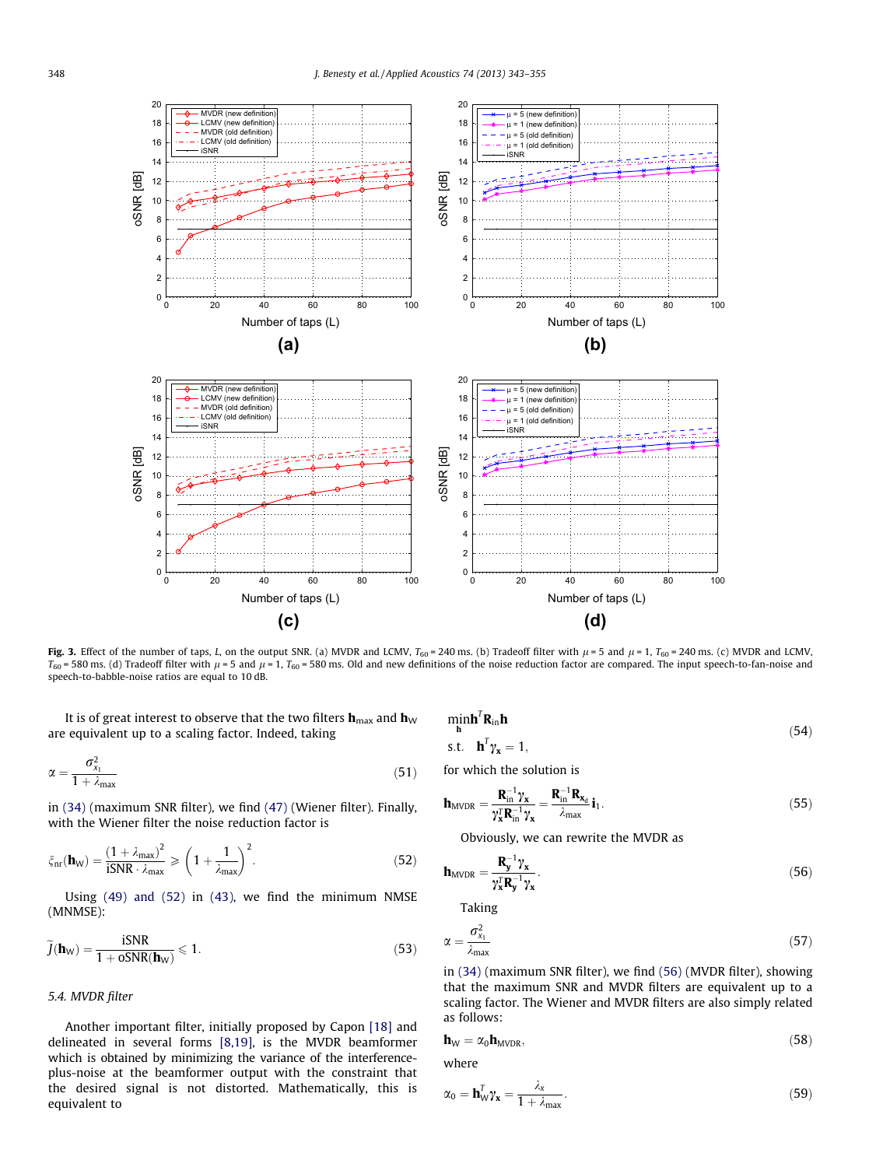<span id="page-5-0"></span>

Fig. 3. Effect of the number of taps, L, on the output SNR. (a) MVDR and LCMV,  $T_{60} = 240$  ms. (b) Tradeoff filter with  $\mu = 5$  and  $\mu = 1$ ,  $T_{60} = 240$  ms. (c) MVDR and LCMV,  $T_{60}$  = 580 ms. (d) Tradeoff filter with  $\mu$  = 5 and  $\mu$  = 1, T<sub>60</sub> = 580 ms. Old and new definitions of the noise reduction factor are compared. The input speech-to-fan-noise and speech-to-babble-noise ratios are equal to 10 dB.

It is of great interest to observe that the two filters  $\mathbf{h}_{\text{max}}$  and  $\mathbf{h}_{\text{W}}$ are equivalent up to a scaling factor. Indeed, taking

$$
\alpha = \frac{\sigma_{x_1}^2}{1 + \lambda_{\text{max}}} \tag{51}
$$

in [\(34\)](#page-3-0) (maximum SNR filter), we find [\(47\)](#page-4-0) (Wiener filter). Finally, with the Wiener filter the noise reduction factor is

$$
\xi_{nr}(\mathbf{h}_W) = \frac{(1 + \lambda_{max})^2}{iSNR \cdot \lambda_{max}} \geqslant \left(1 + \frac{1}{\lambda_{max}}\right)^2.
$$
\n(52)

Using [\(49\) and \(52\)](#page-4-0) in [\(43\),](#page-4-0) we find the minimum NMSE (MNMSE):

$$
\widetilde{J}(\mathbf{h}_W) = \frac{\text{ISNR}}{1 + \text{oSNR}(\mathbf{h}_W)} \leqslant 1. \tag{53}
$$

#### 5.4. MVDR filter

Another important filter, initially proposed by Capon [\[18\]](#page-12-0) and delineated in several forms [\[8,19\],](#page-12-0) is the MVDR beamformer which is obtained by minimizing the variance of the interferenceplus-noise at the beamformer output with the constraint that the desired signal is not distorted. Mathematically, this is equivalent to

 $min_{h} h^{T}R_{in}h$ 

$$
\begin{array}{ll}\n\mathbf{h} & \text{if } \\
\mathbf{s}.\mathbf{t} & \mathbf{h}^T \mathbf{\gamma_x} = 1,\n\end{array} \tag{54}
$$

for which the solution is

$$
\mathbf{h}_{\text{MVDR}} = \frac{\mathbf{R}_{\text{in}}^{-1} \gamma_{\mathbf{x}}}{\gamma_{\mathbf{x}}^{\mathsf{T}} \mathbf{R}_{\text{in}}^{-1} \gamma_{\mathbf{x}}} = \frac{\mathbf{R}_{\text{in}}^{-1} \mathbf{R}_{\mathbf{x}_d}}{\lambda_{\text{max}}} \, \mathbf{i}_1. \tag{55}
$$

Obviously, we can rewrite the MVDR as

$$
\mathbf{h}_{\text{MVDR}} = \frac{\mathbf{R}_{\mathbf{y}}^{-1} \gamma_{\mathbf{x}}}{\gamma_{\mathbf{x}}^{\mathbf{T}} \mathbf{R}_{\mathbf{y}}^{-1} \gamma_{\mathbf{x}}}.
$$
 (56)

Taking

$$
\alpha = \frac{\sigma_{x_1}^2}{\lambda_{\text{max}}} \tag{57}
$$

in [\(34\)](#page-3-0) (maximum SNR filter), we find (56) (MVDR filter), showing that the maximum SNR and MVDR filters are equivalent up to a scaling factor. The Wiener and MVDR filters are also simply related as follows:

$$
\mathbf{h}_{\mathrm{W}} = \alpha_0 \mathbf{h}_{\mathrm{MVDR}},\tag{58}
$$

where

$$
\alpha_0 = \mathbf{h}_W^T \gamma_{\mathbf{x}} = \frac{\lambda_x}{1 + \lambda_{\text{max}}}.
$$
\n(59)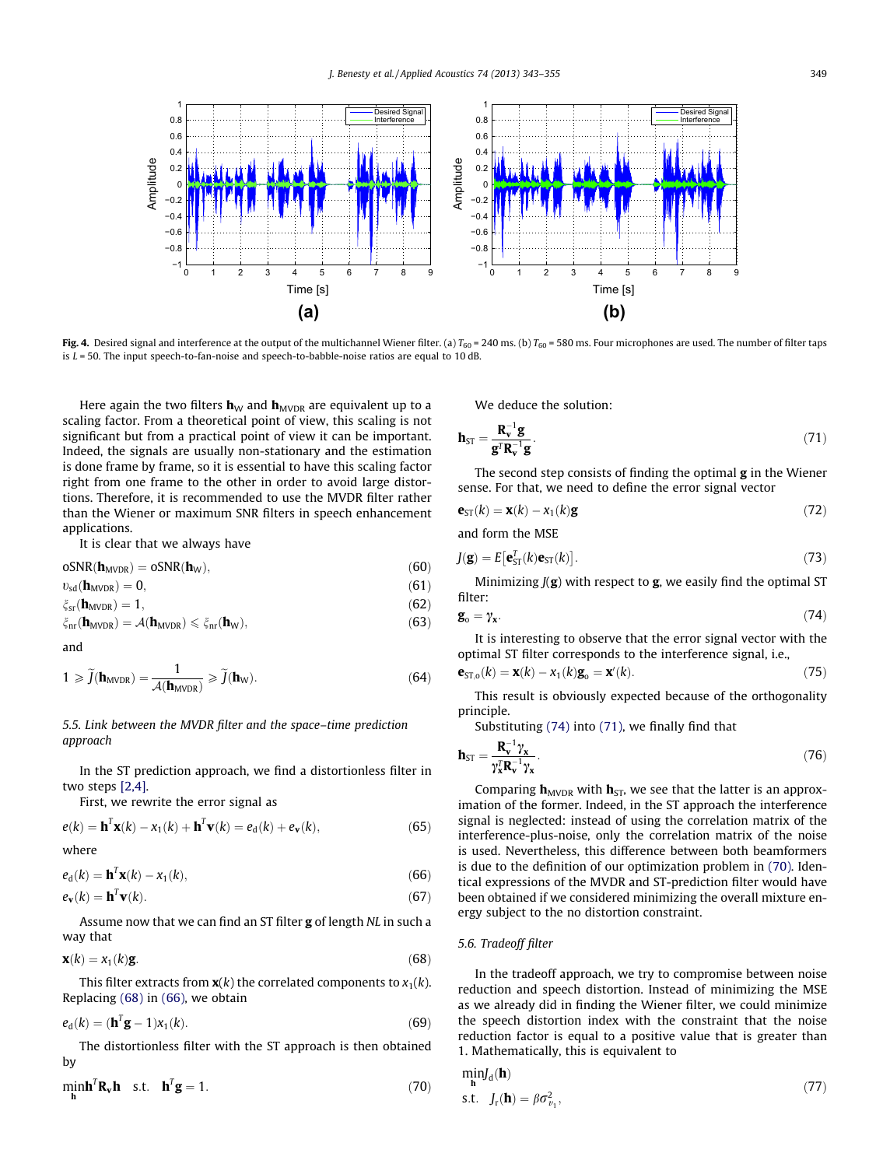<span id="page-6-0"></span>

Fig. 4. Desired signal and interference at the output of the multichannel Wiener filter. (a)  $T_{60} = 240$  ms. (b)  $T_{60} = 580$  ms. Four microphones are used. The number of filter taps is  $L = 50$ . The input speech-to-fan-noise and speech-to-babble-noise ratios are equal to 10 dB.

Here again the two filters  $\mathbf{h}_{\text{W}}$  and  $\mathbf{h}_{\text{MVDR}}$  are equivalent up to a scaling factor. From a theoretical point of view, this scaling is not significant but from a practical point of view it can be important. Indeed, the signals are usually non-stationary and the estimation is done frame by frame, so it is essential to have this scaling factor right from one frame to the other in order to avoid large distortions. Therefore, it is recommended to use the MVDR filter rather than the Wiener or maximum SNR filters in speech enhancement applications.

It is clear that we always have

$$
oSNR(\mathbf{h}_{MVDR}) = oSNR(\mathbf{h}_W),\tag{60}
$$

$$
v_{sd}(\mathbf{h}_{MVDR}) = 0,\tag{61}
$$

$$
\xi_{\rm sr}(\mathbf{h}_{\rm MVDR}) = 1,\tag{62}
$$

 $\zeta_{\rm nr}(\mathbf{h}_{\rm MVDR}) = \mathcal{A}(\mathbf{h}_{\rm MVDR}) \leq \zeta_{\rm nr}(\mathbf{h}_{\rm W}),$  (63)

and

$$
1 \geqslant \widetilde{J}(\mathbf{h}_{MVDR}) = \frac{1}{\mathcal{A}(\mathbf{h}_{MVDR})} \geqslant \widetilde{J}(\mathbf{h}_{W}).\tag{64}
$$

### 5.5. Link between the MVDR filter and the space–time prediction approach

In the ST prediction approach, we find a distortionless filter in two steps [\[2,4\]](#page-12-0).

First, we rewrite the error signal as

$$
e(k) = \mathbf{h}^T \mathbf{x}(k) - x_1(k) + \mathbf{h}^T \mathbf{v}(k) = e_d(k) + e_v(k),
$$
\n(65)

$$
x\in \mathbb{R}^n\setminus \mathbb{R}^n
$$

$$
e_{d}(k) = \mathbf{h}^{T}\mathbf{x}(k) - x_{1}(k),
$$
\n(66)

$$
e_{\mathbf{v}}(k) = \mathbf{h}^T \mathbf{v}(k). \tag{67}
$$

Assume now that we can find an ST filter g of length NL in such a way that

$$
\mathbf{x}(k) = x_1(k)\mathbf{g}.\tag{68}
$$

This filter extracts from  $\mathbf{x}(k)$  the correlated components to  $x_1(k)$ . Replacing (68) in (66), we obtain

$$
e_{d}(k) = (\mathbf{h}^{T}\mathbf{g} - 1)x_{1}(k). \tag{69}
$$

The distortionless filter with the ST approach is then obtained by

$$
\underset{\mathbf{h}}{\text{min}} \mathbf{h}^T \mathbf{R}_{\mathbf{v}} \mathbf{h} \quad \text{s.t.} \quad \mathbf{h}^T \mathbf{g} = 1. \tag{70}
$$

We deduce the solution:

$$
\mathbf{h}_{ST} = \frac{\mathbf{R}_{\mathbf{v}}^{-1} \mathbf{g}}{\mathbf{g}^T \mathbf{R}_{\mathbf{v}}^{-1} \mathbf{g}}.
$$
 (71)

The second step consists of finding the optimal  $g$  in the Wiener sense. For that, we need to define the error signal vector

$$
\mathbf{e}_{ST}(k) = \mathbf{x}(k) - x_1(k)\mathbf{g}
$$
 (72)

and form the MSE

$$
J(\mathbf{g}) = E[\mathbf{e}_{\text{ST}}^T(k)\mathbf{e}_{\text{ST}}(k)].
$$
\n(73)

Minimizing  $J(g)$  with respect to  $g$ , we easily find the optimal ST filter:

$$
\mathbf{g}_o = \gamma_{\mathbf{x}}.\tag{74}
$$

It is interesting to observe that the error signal vector with the optimal ST filter corresponds to the interference signal, i.e.,

$$
\mathbf{e}_{\mathrm{ST},0}(k) = \mathbf{x}(k) - x_1(k)\mathbf{g}_0 = \mathbf{x}'(k). \tag{75}
$$

This result is obviously expected because of the orthogonality principle.

Substituting (74) into (71), we finally find that

$$
\mathbf{h}_{ST} = \frac{\mathbf{R}_{\mathbf{v}}^{-1} \gamma_{\mathbf{x}}}{\gamma_{\mathbf{x}}^{\mathsf{T}} \mathbf{R}_{\mathbf{v}}^{-1} \gamma_{\mathbf{x}}}.
$$
(76)

Comparing  $h_{MVDR}$  with  $h_{ST}$ , we see that the latter is an approximation of the former. Indeed, in the ST approach the interference signal is neglected: instead of using the correlation matrix of the interference-plus-noise, only the correlation matrix of the noise is used. Nevertheless, this difference between both beamformers is due to the definition of our optimization problem in (70). Identical expressions of the MVDR and ST-prediction filter would have been obtained if we considered minimizing the overall mixture energy subject to the no distortion constraint.

#### 5.6. Tradeoff filter

In the tradeoff approach, we try to compromise between noise reduction and speech distortion. Instead of minimizing the MSE as we already did in finding the Wiener filter, we could minimize the speech distortion index with the constraint that the noise reduction factor is equal to a positive value that is greater than 1. Mathematically, this is equivalent to

$$
\min_{\mathbf{h}} J_{\mathbf{d}}(\mathbf{h})
$$
  
s.t.  $J_{\mathbf{r}}(\mathbf{h}) = \beta \sigma_{v_1}^2$ , (77)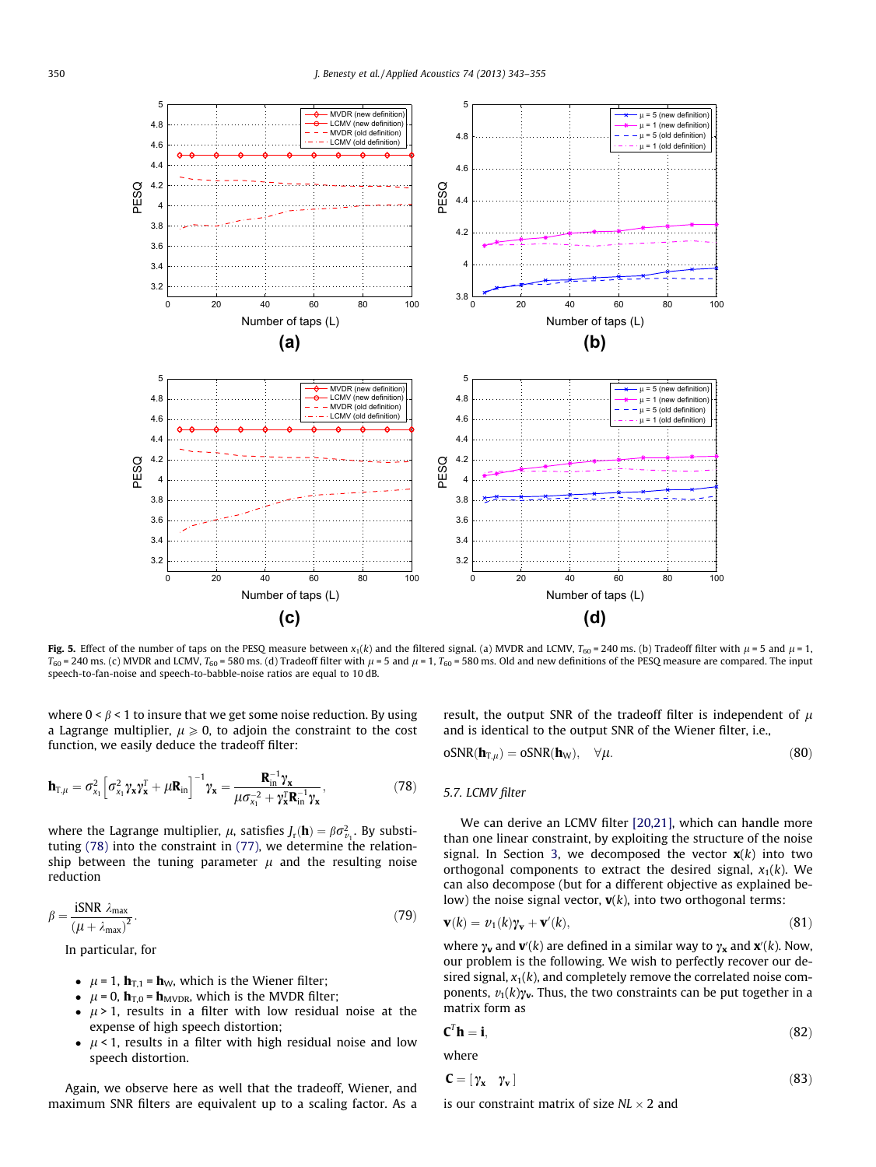<span id="page-7-0"></span>

Fig. 5. Effect of the number of taps on the PESQ measure between  $x_1(k)$  and the filtered signal. (a) MVDR and LCMV,  $T_{60}$  = 240 ms. (b) Tradeoff filter with  $\mu$  = 5 and  $\mu$  = 1,  $T_{60}$  = 240 ms. (c) MVDR and LCMV,  $T_{60}$  = 580 ms. (d) Tradeoff filter with  $\mu$  = 5 and  $\mu$  = 1,  $T_{60}$  = 580 ms. Old and new definitions of the PESQ measure are compared. The input speech-to-fan-noise and speech-to-babble-noise ratios are equal to 10 dB.

where  $0 < \beta < 1$  to insure that we get some noise reduction. By using a Lagrange multiplier,  $\mu \geq 0$ , to adjoin the constraint to the cost function, we easily deduce the tradeoff filter:

$$
\mathbf{h}_{\mathrm{T},\mu} = \sigma_{\mathrm{x}_1}^2 \left[ \sigma_{\mathrm{x}_1}^2 \gamma_{\mathrm{x}} \gamma_{\mathrm{x}}^T + \mu \mathbf{R}_{\mathrm{in}} \right]^{-1} \gamma_{\mathrm{x}} = \frac{\mathbf{R}_{\mathrm{in}}^{-1} \gamma_{\mathrm{x}}}{\mu \sigma_{\mathrm{x}_1}^{-2} + \gamma_{\mathrm{x}}^T \mathbf{R}_{\mathrm{in}}^{-1} \gamma_{\mathrm{x}}},\tag{78}
$$

where the Lagrange multiplier,  $\mu$ , satisfies  $J_r(\mathbf{h}) = \beta \sigma_{v_1}^2$ . By substituting (78) into the constraint in [\(77\)](#page-6-0), we determine the relationship between the tuning parameter  $\mu$  and the resulting noise reduction

$$
\beta = \frac{\text{iSNR} \lambda_{\text{max}}}{(\mu + \lambda_{\text{max}})^2}.
$$
\n(79)

In particular, for

- $\mu = 1$ ,  $\mathbf{h}_{T,1} = \mathbf{h}_{W}$ , which is the Wiener filter;
- $\mu = 0$ ,  $\mathbf{h}_{\text{T,0}} = \mathbf{h}_{\text{MVDR}}$ , which is the MVDR filter;
- $\mu$  > 1, results in a filter with low residual noise at the expense of high speech distortion;
- $\mu$  < 1, results in a filter with high residual noise and low speech distortion.

Again, we observe here as well that the tradeoff, Wiener, and maximum SNR filters are equivalent up to a scaling factor. As a result, the output SNR of the tradeoff filter is independent of  $\mu$ and is identical to the output SNR of the Wiener filter, i.e.,

$$
oSNR(\mathbf{h}_{T,\mu}) = oSNR(\mathbf{h}_W), \quad \forall \mu.
$$
\n(80)

#### 5.7. LCMV filter

We can derive an LCMV filter [\[20,21\]](#page-12-0), which can handle more than one linear constraint, by exploiting the structure of the noise signal. In Section [3](#page-1-0), we decomposed the vector  $\mathbf{x}(k)$  into two orthogonal components to extract the desired signal,  $x_1(k)$ . We can also decompose (but for a different objective as explained below) the noise signal vector,  $\mathbf{v}(k)$ , into two orthogonal terms:

$$
\mathbf{v}(k) = v_1(k)\mathbf{v}_\mathbf{v} + \mathbf{v}'(k),\tag{81}
$$

where  $\gamma_v$  and  $\mathbf{v}'(k)$  are defined in a similar way to  $\gamma_x$  and  $\mathbf{x}'(k)$ . Now, our problem is the following. We wish to perfectly recover our desired signal,  $x_1(k)$ , and completely remove the correlated noise components,  $v_1(k)\gamma_v$ . Thus, the two constraints can be put together in a matrix form as

$$
\mathbf{C}^T \mathbf{h} = \mathbf{i},\tag{82}
$$

where

$$
\mathbf{C} = [\gamma_{\mathbf{x}} \quad \gamma_{\mathbf{v}}] \tag{83}
$$

is our constraint matrix of size  $NL \times 2$  and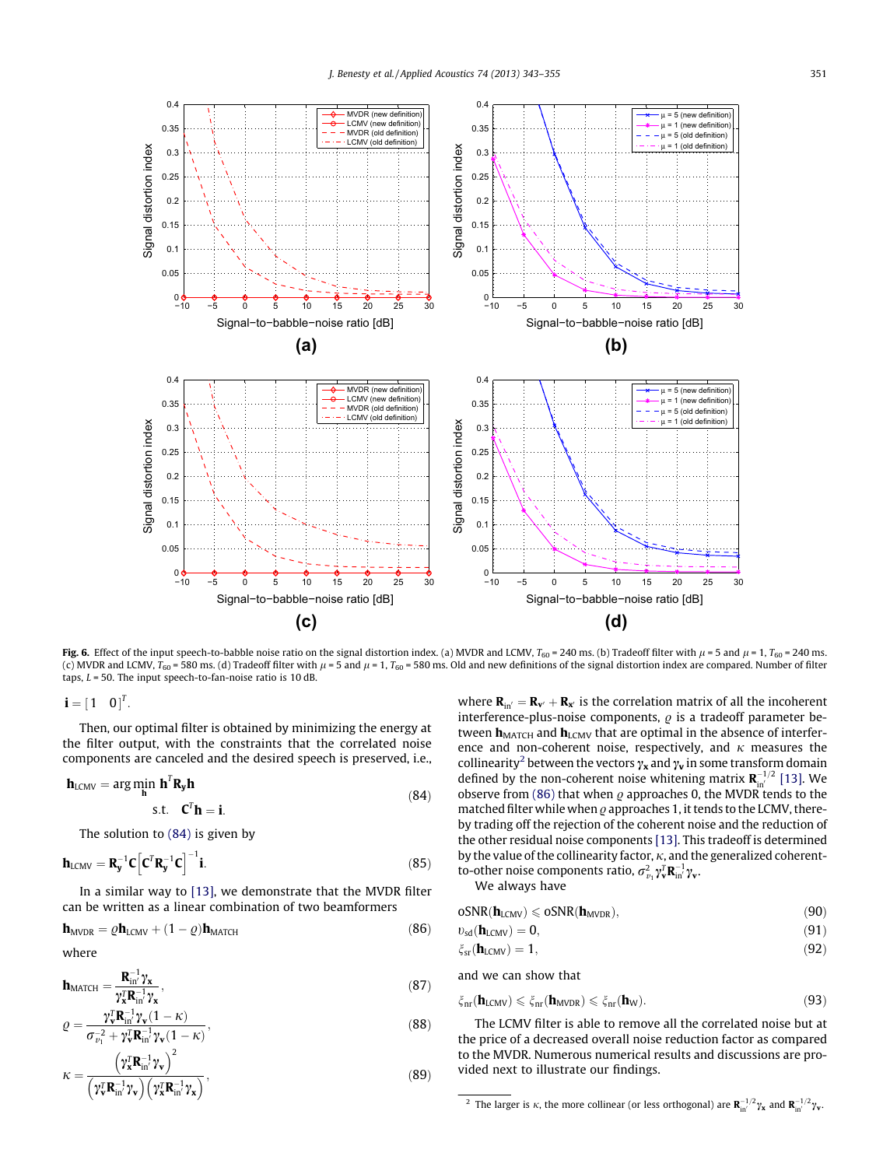<span id="page-8-0"></span>

Fig. 6. Effect of the input speech-to-babble noise ratio on the signal distortion index. (a) MVDR and LCMV,  $T_{60} = 240$  ms. (b) Tradeoff filter with  $\mu = 5$  and  $\mu = 1$ ,  $T_{60} = 240$  ms. (c) MVDR and LCMV,  $T_{60}$  = 580 ms. (d) Tradeoff filter with  $\mu$  = 5 and  $\mu$  = 1,  $T_{60}$  = 580 ms. Old and new definitions of the signal distortion index are compared. Number of filter taps,  $L = 50$ . The input speech-to-fan-noise ratio is 10 dB.

 $\mathbf{i} = \begin{bmatrix} 1 & 0 \end{bmatrix}^T$ .

Then, our optimal filter is obtained by minimizing the energy at the filter output, with the constraints that the correlated noise components are canceled and the desired speech is preserved, i.e.,

$$
\mathbf{h}_{LCMV} = \underset{\mathbf{h}}{\arg\min} \ \mathbf{h}^T \mathbf{R}_{\mathbf{y}} \mathbf{h}
$$
\n
$$
\text{s.t.} \quad \mathbf{C}^T \mathbf{h} = \mathbf{i}.
$$
\n(84)

The solution to (84) is given by

$$
\mathbf{h}_{LCMV} = \mathbf{R}_{\mathbf{y}}^{-1} \mathbf{C} \left[ \mathbf{C}^T \mathbf{R}_{\mathbf{y}}^{-1} \mathbf{C} \right]^{-1} \mathbf{i}.
$$
 (85)

In a similar way to [\[13\]](#page-12-0), we demonstrate that the MVDR filter can be written as a linear combination of two beamformers

$$
\mathbf{h}_{MVDR} = \rho \mathbf{h}_{LCMV} + (1 - \rho) \mathbf{h}_{MATCH}
$$
 (86)

where

$$
\mathbf{h}_{\text{MATCH}} = \frac{\mathbf{R}_{\text{in}}^{-1} \gamma_{\mathbf{x}}}{\gamma_{\mathbf{x}}^T \mathbf{R}_{\text{in}}^{-1} \gamma_{\mathbf{x}}},\tag{87}
$$

$$
\varrho = \frac{\gamma_v^{\mathrm{T}} \mathbf{R}_{\mathrm{in}}^{-1} \gamma_v (1 - \kappa)}{\sigma_{v_1}^{-2} + \gamma_v^{\mathrm{T}} \mathbf{R}_{\mathrm{in}}^{-1} \gamma_v (1 - \kappa)},\tag{88}
$$

$$
\kappa = \frac{\left(\gamma_{\mathbf{x}}^{\mathrm{T}} \mathbf{R}_{\mathrm{in}}^{-1} \gamma_{\mathbf{v}}\right)^{2}}{\left(\gamma_{\mathbf{v}}^{\mathrm{T}} \mathbf{R}_{\mathrm{in}}^{-1} \gamma_{\mathbf{v}}\right)\left(\gamma_{\mathbf{x}}^{\mathrm{T}} \mathbf{R}_{\mathrm{in}}^{-1} \gamma_{\mathbf{x}}\right)},\tag{89}
$$

where  $\mathbf{R}_{in'} = \mathbf{R}_{\mathbf{v}'} + \mathbf{R}_{\mathbf{x}'}$  is the correlation matrix of all the incoherent interference-plus-noise components,  $\rho$  is a tradeoff parameter between  $h_{\text{MATCH}}$  and  $h_{\text{LCMV}}$  that are optimal in the absence of interference and non-coherent noise, respectively, and  $\kappa$  measures the collinearity<sup>2</sup> between the vectors  $\gamma_x$  and  $\gamma_v$  in some transform domain defined by the non-coherent noise whitening matrix  $\mathbf{R}_{\textrm{in}'}^{-1/2}$  [\[13\].](#page-12-0) We observe from (86) that when  $\rho$  approaches 0, the MVDR tends to the matched filter while when  $\rho$  approaches 1, it tends to the LCMV, thereby trading off the rejection of the coherent noise and the reduction of the other residual noise components [\[13\].](#page-12-0) This tradeoff is determined by the value of the collinearity factor,  $\kappa$ , and the generalized coherentto-other noise components ratio,  $\sigma_{\nu_1}^2 \gamma_{\bf v}^T {\bf R}_{\rm in}^{-1} \gamma_{\bf v}.$ 

We always have

$$
oSNR(\bm{h}_{LCMV}) \leqslant oSNR(\bm{h}_{MVDR}),\tag{90}
$$

$$
\upsilon_{sd}(\mathbf{h}_{LCMV}) = 0,\tag{91}
$$

$$
\zeta_{\rm sr}(\mathbf{h}_{\rm LCMV}) = 1,\tag{92}
$$

and we can show that

$$
\xi_{nr}(\mathbf{h}_{LCMV}) \leqslant \xi_{nr}(\mathbf{h}_{MVDR}) \leqslant \xi_{nr}(\mathbf{h}_{W}).\tag{93}
$$

The LCMV filter is able to remove all the correlated noise but at the price of a decreased overall noise reduction factor as compared to the MVDR. Numerous numerical results and discussions are provided next to illustrate our findings.

<sup>&</sup>lt;sup>2</sup> The larger is  $\kappa$ , the more collinear (or less orthogonal) are  $\mathbf{R}_{\text{in}'}^{-1/2} \gamma_{\mathbf{x}}$  and  $\mathbf{R}_{\text{in}'}^{-1/2} \gamma_{\mathbf{v}}$ .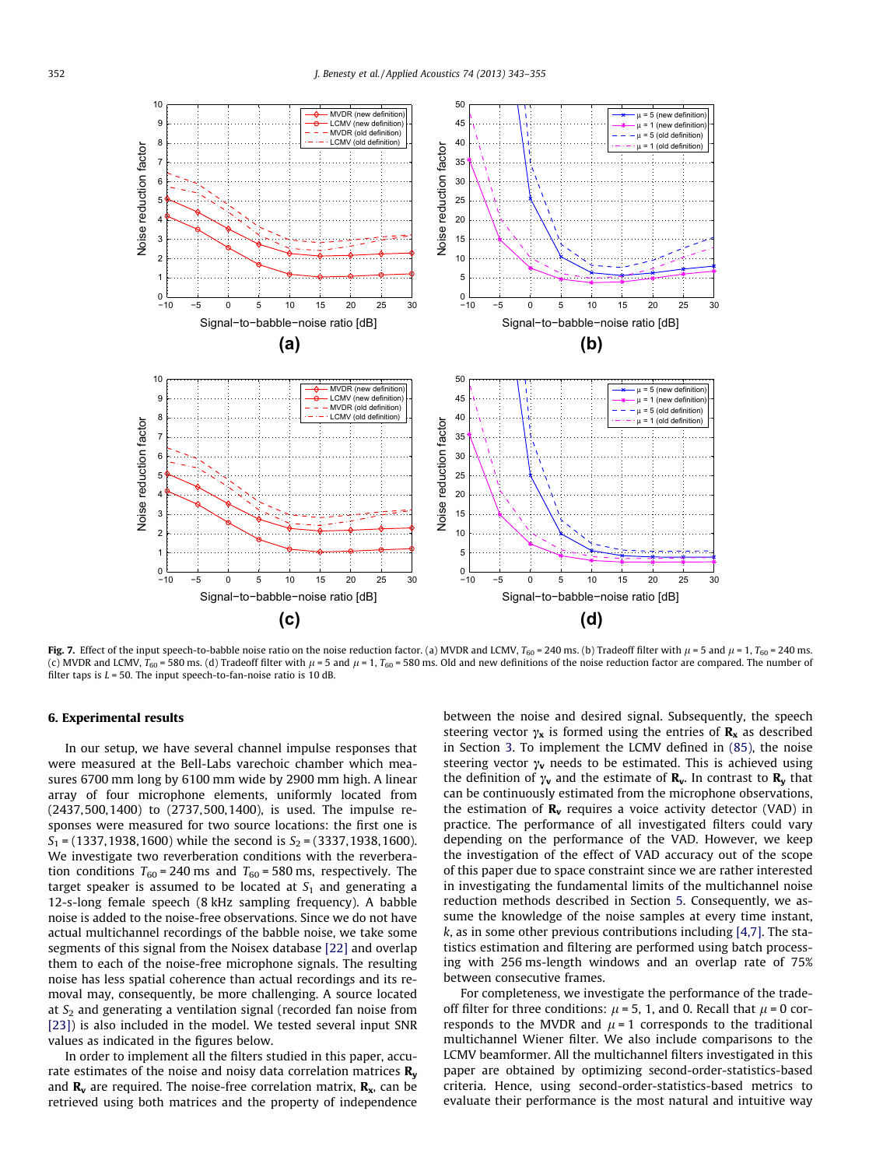<span id="page-9-0"></span>

Fig. 7. Effect of the input speech-to-babble noise ratio on the noise reduction factor. (a) MVDR and LCMV,  $T_{60} = 240$  ms. (b) Tradeoff filter with  $\mu = 5$  and  $\mu = 1$ ,  $T_{60} = 240$  ms. (c) MVDR and LCMV,  $T_{60}$  = 580 ms. (d) Tradeoff filter with  $\mu$  = 5 and  $\mu$  = 1,  $T_{60}$  = 580 ms. Old and new definitions of the noise reduction factor are compared. The number of filter taps is  $L = 50$ . The input speech-to-fan-noise ratio is 10 dB.

#### 6. Experimental results

In our setup, we have several channel impulse responses that were measured at the Bell-Labs varechoic chamber which measures 6700 mm long by 6100 mm wide by 2900 mm high. A linear array of four microphone elements, uniformly located from (2437,500,1400) to (2737,500,1400), is used. The impulse responses were measured for two source locations: the first one is  $S_1$  = (1337, 1938, 1600) while the second is  $S_2$  = (3337, 1938, 1600). We investigate two reverberation conditions with the reverberation conditions  $T_{60}$  = 240 ms and  $T_{60}$  = 580 ms, respectively. The target speaker is assumed to be located at  $S_1$  and generating a 12-s-long female speech (8 kHz sampling frequency). A babble noise is added to the noise-free observations. Since we do not have actual multichannel recordings of the babble noise, we take some segments of this signal from the Noisex database [\[22\]](#page-12-0) and overlap them to each of the noise-free microphone signals. The resulting noise has less spatial coherence than actual recordings and its removal may, consequently, be more challenging. A source located at  $S<sub>2</sub>$  and generating a ventilation signal (recorded fan noise from [\[23\]](#page-12-0)) is also included in the model. We tested several input SNR values as indicated in the figures below.

In order to implement all the filters studied in this paper, accurate estimates of the noise and noisy data correlation matrices  $\mathbf{R}_{v}$ and  $\mathbf{R}_{v}$  are required. The noise-free correlation matrix,  $\mathbf{R}_{x}$ , can be retrieved using both matrices and the property of independence

between the noise and desired signal. Subsequently, the speech steering vector  $\gamma_x$  is formed using the entries of  $\mathbf{R}_x$  as described in Section [3](#page-1-0). To implement the LCMV defined in [\(85\),](#page-8-0) the noise steering vector  $\gamma_{\bf v}$  needs to be estimated. This is achieved using the definition of  $\gamma_v$  and the estimate of  $\mathbf{R}_v$ . In contrast to  $\mathbf{R}_y$  that can be continuously estimated from the microphone observations, the estimation of  $\mathbf{R}_{v}$  requires a voice activity detector (VAD) in practice. The performance of all investigated filters could vary depending on the performance of the VAD. However, we keep the investigation of the effect of VAD accuracy out of the scope of this paper due to space constraint since we are rather interested in investigating the fundamental limits of the multichannel noise reduction methods described in Section [5.](#page-2-0) Consequently, we assume the knowledge of the noise samples at every time instant,  $k$ , as in some other previous contributions including  $[4,7]$ . The statistics estimation and filtering are performed using batch processing with 256 ms-length windows and an overlap rate of 75% between consecutive frames.

For completeness, we investigate the performance of the tradeoff filter for three conditions:  $\mu$  = 5, 1, and 0. Recall that  $\mu$  = 0 corresponds to the MVDR and  $\mu = 1$  corresponds to the traditional multichannel Wiener filter. We also include comparisons to the LCMV beamformer. All the multichannel filters investigated in this paper are obtained by optimizing second-order-statistics-based criteria. Hence, using second-order-statistics-based metrics to evaluate their performance is the most natural and intuitive way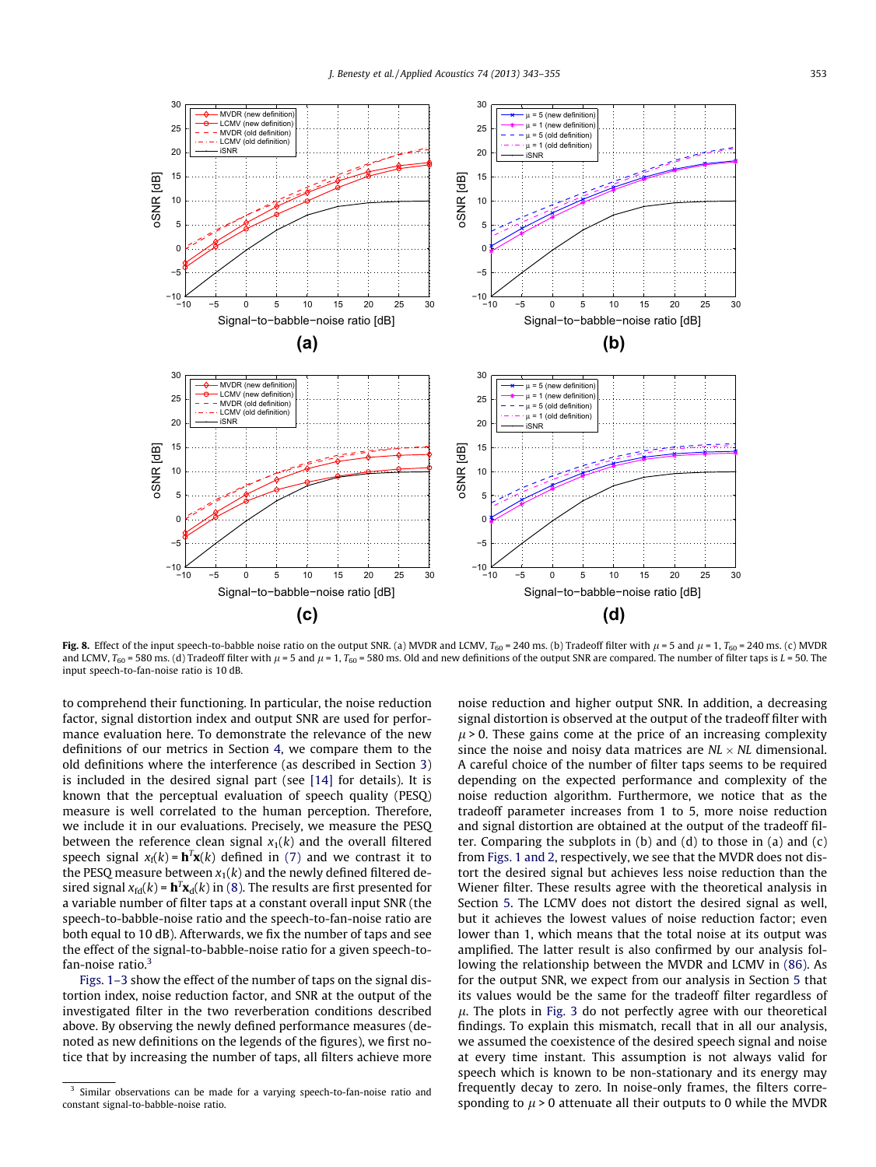<span id="page-10-0"></span>

Fig. 8. Effect of the input speech-to-babble noise ratio on the output SNR. (a) MVDR and LCMV,  $T_{60} = 240$  ms. (b) Tradeoff filter with  $\mu$  = 5 and  $\mu$  = 1,  $T_{60} = 240$  ms. (c) MVDR and LCMV,  $T_{60}$  = 580 ms. (d) Tradeoff filter with  $\mu$  = 5 and  $\mu$  = 1,  $T_{60}$  = 580 ms. Old and new definitions of the output SNR are compared. The number of filter taps is  $L$  = 50. The input speech-to-fan-noise ratio is 10 dB.

to comprehend their functioning. In particular, the noise reduction factor, signal distortion index and output SNR are used for performance evaluation here. To demonstrate the relevance of the new definitions of our metrics in Section [4](#page-2-0), we compare them to the old definitions where the interference (as described in Section [3\)](#page-1-0) is included in the desired signal part (see [\[14\]](#page-12-0) for details). It is known that the perceptual evaluation of speech quality (PESQ) measure is well correlated to the human perception. Therefore, we include it in our evaluations. Precisely, we measure the PESQ between the reference clean signal  $x_1(k)$  and the overall filtered speech signal  $x_f(k) = \mathbf{h}^T \mathbf{x}(k)$  defined in [\(7\)](#page-1-0) and we contrast it to the PESQ measure between  $x_1(k)$  and the newly defined filtered desired signal  $x_{\text{fd}}(k)$  =  $\mathbf{h}^T\mathbf{x}_{\text{d}}(k)$  in [\(8\).](#page-1-0) The results are first presented for a variable number of filter taps at a constant overall input SNR (the speech-to-babble-noise ratio and the speech-to-fan-noise ratio are both equal to 10 dB). Afterwards, we fix the number of taps and see the effect of the signal-to-babble-noise ratio for a given speech-to $fan-noise ratio.<sup>3</sup>$ 

[Figs. 1–3](#page-3-0) show the effect of the number of taps on the signal distortion index, noise reduction factor, and SNR at the output of the investigated filter in the two reverberation conditions described above. By observing the newly defined performance measures (denoted as new definitions on the legends of the figures), we first notice that by increasing the number of taps, all filters achieve more noise reduction and higher output SNR. In addition, a decreasing signal distortion is observed at the output of the tradeoff filter with  $\mu$  > 0. These gains come at the price of an increasing complexity since the noise and noisy data matrices are  $NL \times NL$  dimensional. A careful choice of the number of filter taps seems to be required depending on the expected performance and complexity of the noise reduction algorithm. Furthermore, we notice that as the tradeoff parameter increases from 1 to 5, more noise reduction and signal distortion are obtained at the output of the tradeoff filter. Comparing the subplots in (b) and (d) to those in (a) and (c) from [Figs. 1 and 2](#page-3-0), respectively, we see that the MVDR does not distort the desired signal but achieves less noise reduction than the Wiener filter. These results agree with the theoretical analysis in Section [5](#page-2-0). The LCMV does not distort the desired signal as well, but it achieves the lowest values of noise reduction factor; even lower than 1, which means that the total noise at its output was amplified. The latter result is also confirmed by our analysis following the relationship between the MVDR and LCMV in [\(86\).](#page-8-0) As for the output SNR, we expect from our analysis in Section [5](#page-2-0) that its values would be the same for the tradeoff filter regardless of  $\mu$ . The plots in [Fig. 3](#page-5-0) do not perfectly agree with our theoretical findings. To explain this mismatch, recall that in all our analysis, we assumed the coexistence of the desired speech signal and noise at every time instant. This assumption is not always valid for speech which is known to be non-stationary and its energy may frequently decay to zero. In noise-only frames, the filters corresponding to  $\mu$  > 0 attenuate all their outputs to 0 while the MVDR

<sup>3</sup> Similar observations can be made for a varying speech-to-fan-noise ratio and constant signal-to-babble-noise ratio.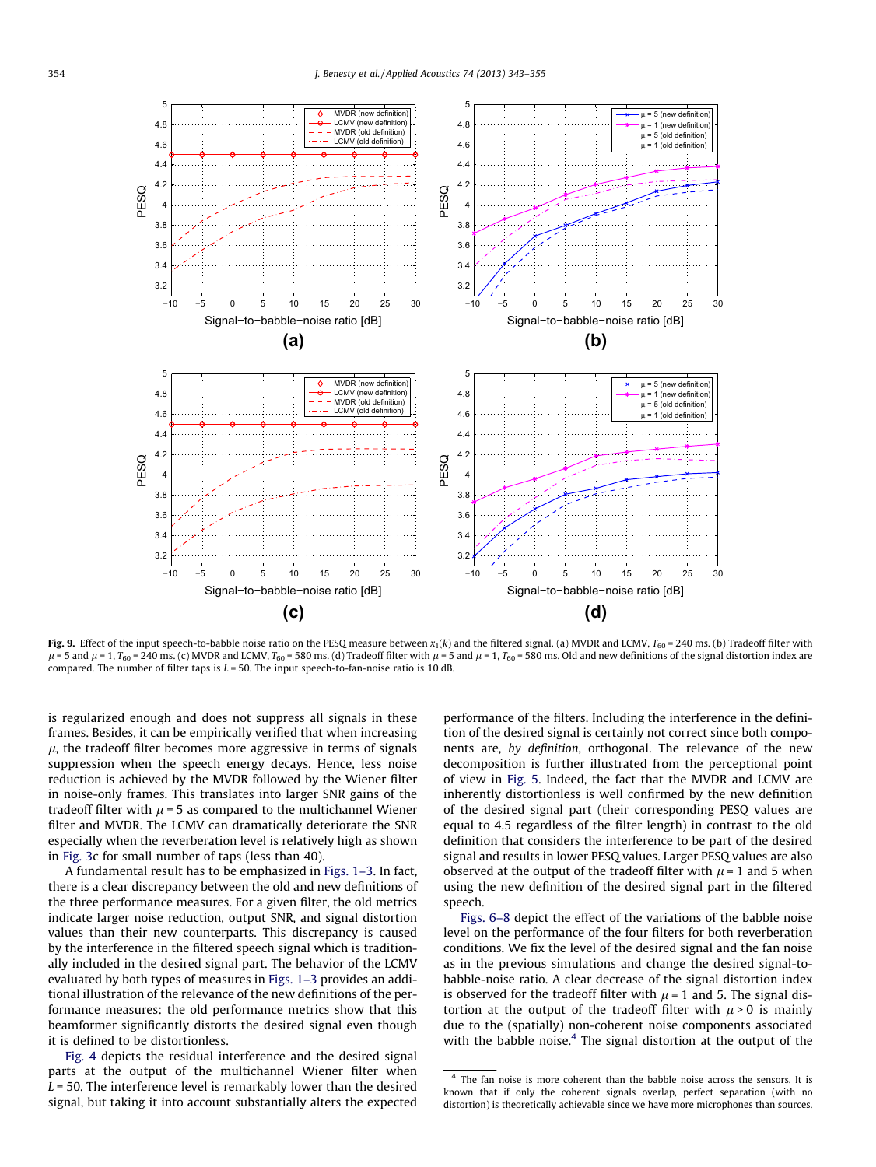<span id="page-11-0"></span>

Fig. 9. Effect of the input speech-to-babble noise ratio on the PESQ measure between  $x_1(k)$  and the filtered signal. (a) MVDR and LCMV,  $T_{60} = 240$  ms. (b) Tradeoff filter with  $\mu$  = 5 and  $\mu$  = 1, T<sub>60</sub> = 240 ms. (c) MVDR and LCMV, T<sub>60</sub> = 580 ms. (d) Tradeoff filter with  $\mu$  = 5 and  $\mu$  = 1, T<sub>60</sub> = 580 ms. Old and new definitions of the signal distortion index are compared. The number of filter taps is  $L = 50$ . The input speech-to-fan-noise ratio is 10 dB.

is regularized enough and does not suppress all signals in these frames. Besides, it can be empirically verified that when increasing  $\mu$ , the tradeoff filter becomes more aggressive in terms of signals suppression when the speech energy decays. Hence, less noise reduction is achieved by the MVDR followed by the Wiener filter in noise-only frames. This translates into larger SNR gains of the tradeoff filter with  $\mu$  = 5 as compared to the multichannel Wiener filter and MVDR. The LCMV can dramatically deteriorate the SNR especially when the reverberation level is relatively high as shown in [Fig. 3](#page-5-0)c for small number of taps (less than 40).

A fundamental result has to be emphasized in [Figs. 1–3.](#page-3-0) In fact, there is a clear discrepancy between the old and new definitions of the three performance measures. For a given filter, the old metrics indicate larger noise reduction, output SNR, and signal distortion values than their new counterparts. This discrepancy is caused by the interference in the filtered speech signal which is traditionally included in the desired signal part. The behavior of the LCMV evaluated by both types of measures in [Figs. 1–3](#page-3-0) provides an additional illustration of the relevance of the new definitions of the performance measures: the old performance metrics show that this beamformer significantly distorts the desired signal even though it is defined to be distortionless.

[Fig. 4](#page-6-0) depicts the residual interference and the desired signal parts at the output of the multichannel Wiener filter when  $L = 50$ . The interference level is remarkably lower than the desired signal, but taking it into account substantially alters the expected performance of the filters. Including the interference in the definition of the desired signal is certainly not correct since both components are, by definition, orthogonal. The relevance of the new decomposition is further illustrated from the perceptional point of view in [Fig. 5](#page-7-0). Indeed, the fact that the MVDR and LCMV are inherently distortionless is well confirmed by the new definition of the desired signal part (their corresponding PESQ values are equal to 4.5 regardless of the filter length) in contrast to the old definition that considers the interference to be part of the desired signal and results in lower PESQ values. Larger PESQ values are also observed at the output of the tradeoff filter with  $\mu$  = 1 and 5 when using the new definition of the desired signal part in the filtered speech.

[Figs. 6–8](#page-8-0) depict the effect of the variations of the babble noise level on the performance of the four filters for both reverberation conditions. We fix the level of the desired signal and the fan noise as in the previous simulations and change the desired signal-tobabble-noise ratio. A clear decrease of the signal distortion index is observed for the tradeoff filter with  $\mu$  = 1 and 5. The signal distortion at the output of the tradeoff filter with  $\mu$  > 0 is mainly due to the (spatially) non-coherent noise components associated with the babble noise. $4$  The signal distortion at the output of the

<sup>&</sup>lt;sup>4</sup> The fan noise is more coherent than the babble noise across the sensors. It is known that if only the coherent signals overlap, perfect separation (with no distortion) is theoretically achievable since we have more microphones than sources.